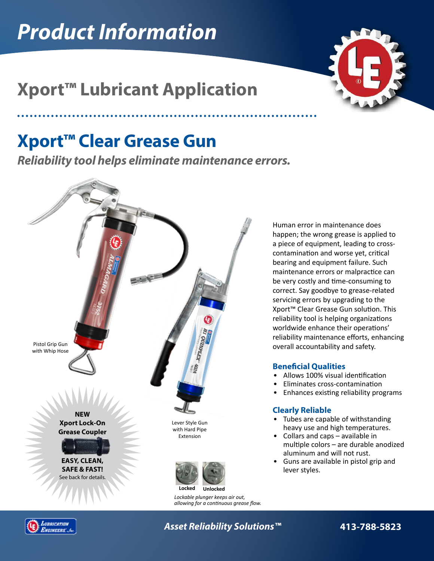# *Product Information*



## **Xport™ Lubricant Application**

## **Xport™ Clear Grease Gun**

*Reliability tool helps eliminate maintenance errors.*



Human error in maintenance does happen; the wrong grease is applied to a piece of equipment, leading to crosscontamination and worse yet, critical bearing and equipment failure. Such maintenance errors or malpractice can be very costly and time-consuming to correct. Say goodbye to grease-related servicing errors by upgrading to the Xport™ Clear Grease Gun solution. This reliability tool is helping organizations worldwide enhance their operations' reliability maintenance efforts, enhancing overall accountability and safety.

### **Beneficial Qualities**

- Allows 100% visual identification
- Eliminates cross-contamination
- Enhances existing reliability programs

#### **Clearly Reliable**

- Tubes are capable of withstanding heavy use and high temperatures.
- Collars and caps available in multiple colors – are durable anodized aluminum and will not rust.
- Guns are available in pistol grip and lever styles.



*Asset Reliability Solutions™* **413-788-5823**